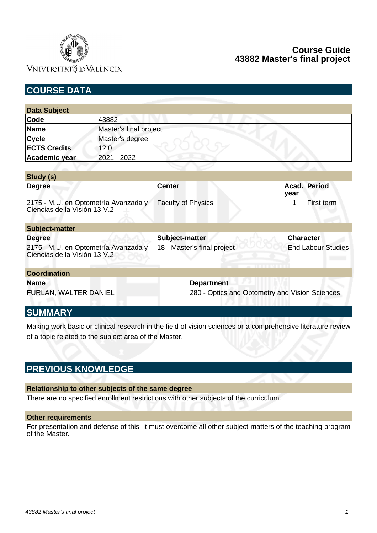

## VNIVERSITATÖ ID VALÈNCIA

## **Course Guide 43882 Master's final project**

| <b>COURSE DATA</b>                                                   |                                      |                             |                                                |
|----------------------------------------------------------------------|--------------------------------------|-----------------------------|------------------------------------------------|
|                                                                      |                                      |                             |                                                |
| <b>Data Subject</b>                                                  |                                      |                             |                                                |
| Code                                                                 | 43882                                |                             |                                                |
| <b>Name</b>                                                          | Master's final project               |                             |                                                |
| <b>Cycle</b>                                                         | Master's degree                      |                             |                                                |
| <b>ECTS Credits</b>                                                  | 12.0                                 |                             |                                                |
| Academic year                                                        | 2021 - 2022                          |                             |                                                |
|                                                                      |                                      |                             |                                                |
| Study (s)                                                            |                                      |                             |                                                |
| <b>Degree</b>                                                        |                                      | <b>Center</b>               | Acad. Period<br>year                           |
| Ciencias de la Visión 13-V.2                                         | 2175 - M.U. en Optometría Avanzada y | <b>Faculty of Physics</b>   | 1<br>First term                                |
| <b>Subject-matter</b>                                                |                                      |                             |                                                |
| <b>Degree</b>                                                        |                                      | Subject-matter              | <b>Character</b>                               |
| 2175 - M.U. en Optometría Avanzada y<br>Ciencias de la Visión 13-V.2 |                                      | 18 - Master's final project | <b>End Labour Studies</b>                      |
| <b>Coordination</b>                                                  |                                      |                             |                                                |
| <b>Name</b><br>FURLAN, WALTER DANIEL<br>CI IMM A DV                  |                                      | <b>Department</b>           | 280 - Optics and Optometry and Vision Sciences |

### **SUMMARY**

Making work basic or clinical research in the field of vision sciences or a comprehensive literature review of a topic related to the subject area of the Master.

## **PREVIOUS KNOWLEDGE**

#### **Relationship to other subjects of the same degree**

There are no specified enrollment restrictions with other subjects of the curriculum.

#### **Other requirements**

For presentation and defense of this it must overcome all other subject-matters of the teaching program of the Master.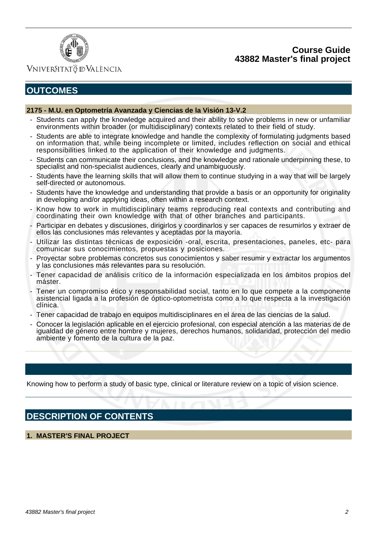### **Course Guide 43882 Master's final project**



### VNIVERSITATÖ ID VALÈNCIA

# **OUTCOMES**

#### **2175 - M.U. en Optometría Avanzada y Ciencias de la Visión 13-V.2**

- Students can apply the knowledge acquired and their ability to solve problems in new or unfamiliar environments within broader (or multidisciplinary) contexts related to their field of study.
- Students are able to integrate knowledge and handle the complexity of formulating judgments based on information that, while being incomplete or limited, includes reflection on social and ethical responsibilities linked to the application of their knowledge and judgments.
- Students can communicate their conclusions, and the knowledge and rationale underpinning these, to specialist and non-specialist audiences, clearly and unambiguously.
- Students have the learning skills that will allow them to continue studying in a way that will be largely self-directed or autonomous.
- Students have the knowledge and understanding that provide a basis or an opportunity for originality in developing and/or applying ideas, often within a research context.
- Know how to work in multidisciplinary teams reproducing real contexts and contributing and coordinating their own knowledge with that of other branches and participants.
- Participar en debates y discusiones, dirigirlos y coordinarlos y ser capaces de resumirlos y extraer de ellos las conclusiones más relevantes y aceptadas por la mayoría.
- Utilizar las distintas técnicas de exposición -oral, escrita, presentaciones, paneles, etc- para comunicar sus conocimientos, propuestas y posiciones.
- Proyectar sobre problemas concretos sus conocimientos y saber resumir y extractar los argumentos y las conclusiones más relevantes para su resolución.
- Tener capacidad de análisis crítico de la información especializada en los ámbitos propios del máster.
- Tener un compromiso ético y responsabilidad social, tanto en lo que compete a la componente asistencial ligada a la profesión de óptico-optometrista como a lo que respecta a la investigación clínica.
- Tener capacidad de trabajo en equipos multidisciplinares en el área de las ciencias de la salud.
- Conocer la legislación aplicable en el ejercicio profesional, con especial atención a las materias de de igualdad de género entre hombre y mujeres, derechos humanos, solidaridad, protección del medio ambiente y fomento de la cultura de la paz.

Knowing how to perform a study of basic type, clinical or literature review on a topic of vision science.

## **DESCRIPTION OF CONTENTS**

#### **1. MASTER'S FINAL PROJECT**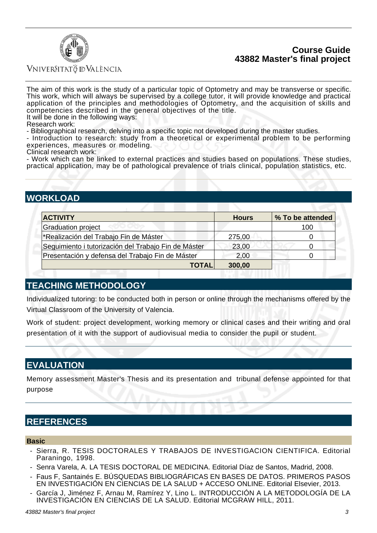### **Course Guide 43882 Master's final project**



#### VNIVERSITATÖ ID VALÈNCIA

The aim of this work is the study of a particular topic of Optometry and may be transverse or specific. This work, which will always be supervised by a college tutor, it will provide knowledge and practical application of the principles and methodologies of Optometry, and the acquisition of skills and competencies described in the general objectives of the title. It will be done in the following ways:

Research work:

- Bibliographical research, delving into a specific topic not developed during the master studies.

- Introduction to research: study from a theoretical or experimental problem to be performing experiences, measures or modeling.

Clinical research work:

- Work which can be linked to external practices and studies based on populations. These studies, practical application, may be of pathological prevalence of trials clinical, population statistics, etc.

# **WORKLOAD**

| <b>ACTIVITY</b>                                      | <b>Hours</b> | % To be attended |
|------------------------------------------------------|--------------|------------------|
| <b>Graduation project</b>                            |              | 100              |
| *Realización del Trabajo Fin de Máster               | 275,00       |                  |
| Seguimiento i tutorización del Trabajo Fin de Máster | 23,00        |                  |
| Presentación y defensa del Trabajo Fin de Máster     | 2,00         |                  |
| <b>TOTAL</b>                                         | 300,00       |                  |

## **TEACHING METHODOLOGY**

Individualized tutoring: to be conducted both in person or online through the mechanisms offered by the Virtual Classroom of the University of Valencia.

Work of student: project development, working memory or clinical cases and their writing and oral presentation of it with the support of audiovisual media to consider the pupil or student.

## **EVALUATION**

Memory assessment Master's Thesis and its presentation and tribunal defense appointed for that purpose

## **REFERENCES**

#### **Basic**

- Sierra, R. TESIS DOCTORALES Y TRABAJOS DE INVESTIGACION CIENTIFICA. Editorial Paraningo, 1998.
- Senra Varela, A. LA TESIS DOCTORAL DE MEDICINA. Editorial Díaz de Santos, Madrid, 2008.
- Faus F, Santainés E. BÚSQUEDAS BIBLIOGRÁFICAS EN BASES DE DATOS. PRIMEROS PASOS EN INVESTIGACIÓN EN CIENCIAS DE LA SALUD + ACCESO ONLINE. Editorial Elsevier, 2013.
- García J, Jiménez F, Arnau M, Ramírez Y, Lino L. INTRODUCCIÓN A LA METODOLOGÍA DE LA INVESTIGACIÓN EN CIENCIAS DE LA SALUD. Editorial MCGRAW HILL, 2011.